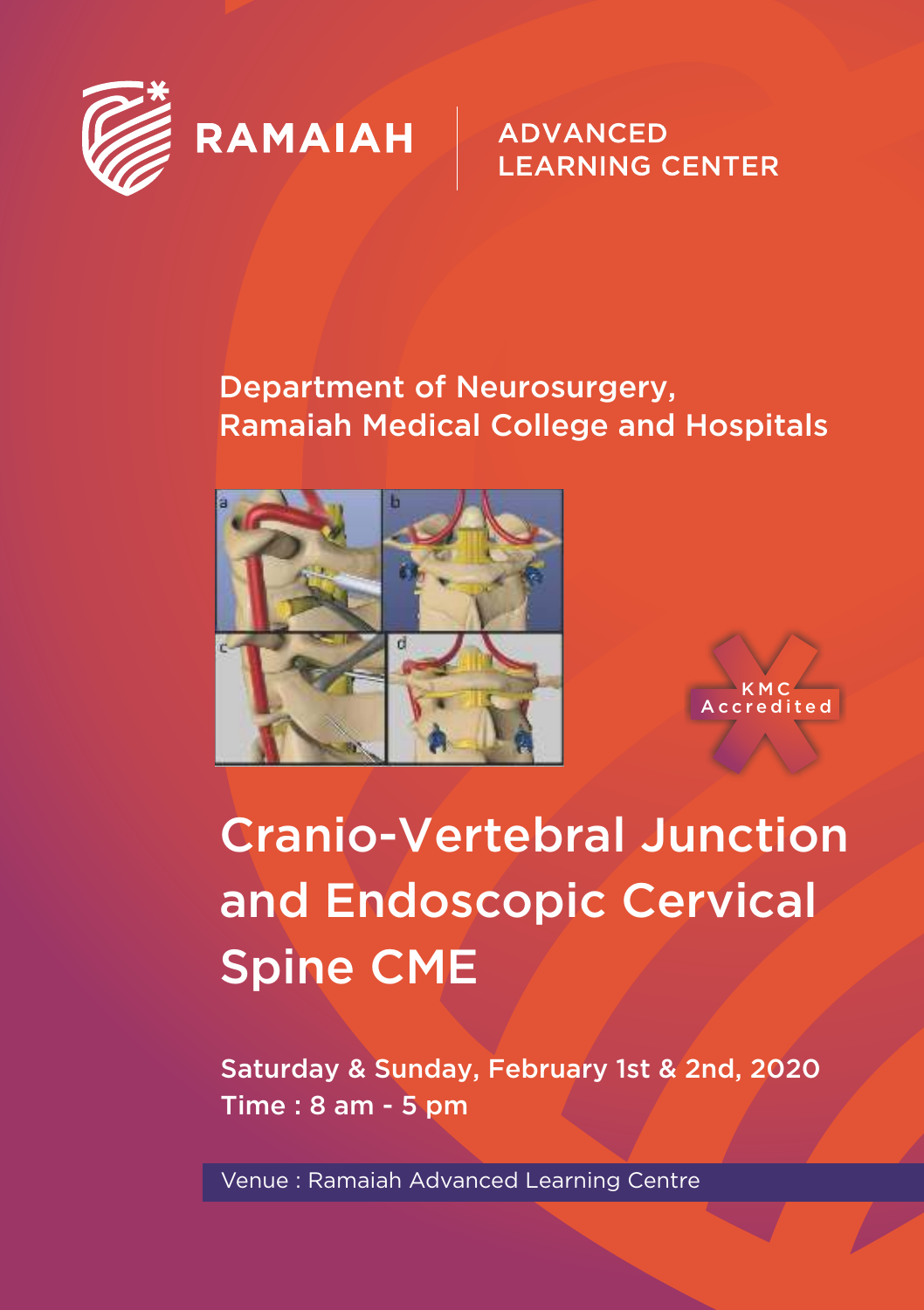

### **ADVANCED LEARNING CENTER**

### Department of Neurosurgery, Ramaiah Medical College and Hospitals



A c c r e d i t e d K M C

# Cranio-Vertebral Junction and Endoscopic Cervical Spine CME

Saturday & Sunday, February 1st & 2nd, 2020 Time : 8 am - 5 pm

Venue : Ramaiah Advanced Learning Centre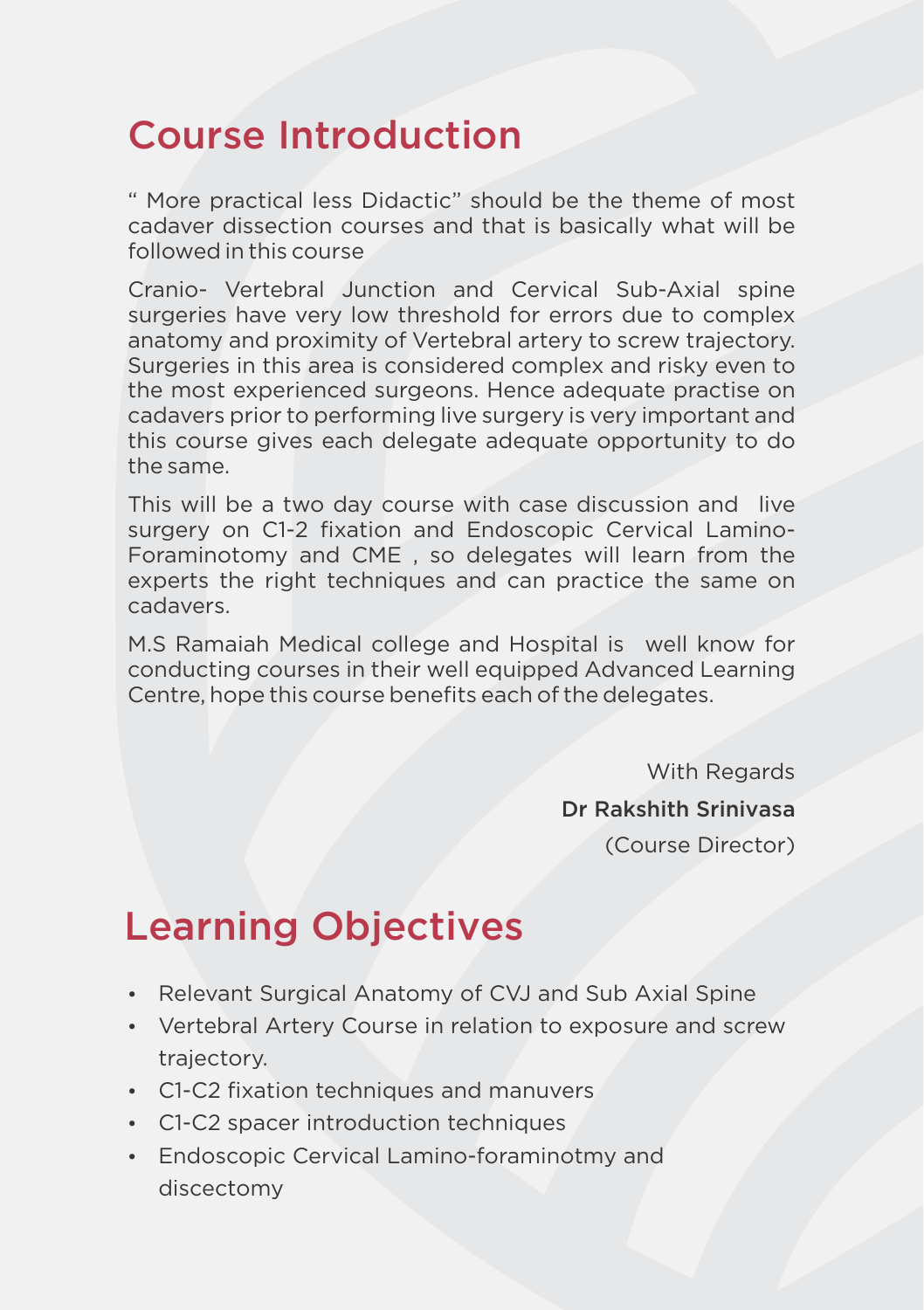## Course Introduction

" More practical less Didactic" should be the theme of most cadaver dissection courses and that is basically what will be followed in this course

Cranio- Vertebral Junction and Cervical Sub-Axial spine surgeries have very low threshold for errors due to complex anatomy and proximity of Vertebral artery to screw trajectory. Surgeries in this area is considered complex and risky even to the most experienced surgeons. Hence adequate practise on cadavers prior to performing live surgery is very important and this course gives each delegate adequate opportunity to do the same.

This will be a two day course with case discussion and live surgery on C1-2 fixation and Endoscopic Cervical Lamino-Foraminotomy and CME , so delegates will learn from the experts the right techniques and can practice the same on cadavers.

M.S Ramaiah Medical college and Hospital is well know for conducting courses in their well equipped Advanced Learning Centre, hope this course benefits each of the delegates.

> With Regards Dr Rakshith Srinivasa (Course Director)

# Learning Objectives

- Relevant Surgical Anatomy of CVJ and Sub Axial Spine
- Vertebral Artery Course in relation to exposure and screw trajectory.
- C1-C2 fixation techniques and manuvers
- C1-C2 spacer introduction techniques
- Endoscopic Cervical Lamino-foraminotmy and discectomy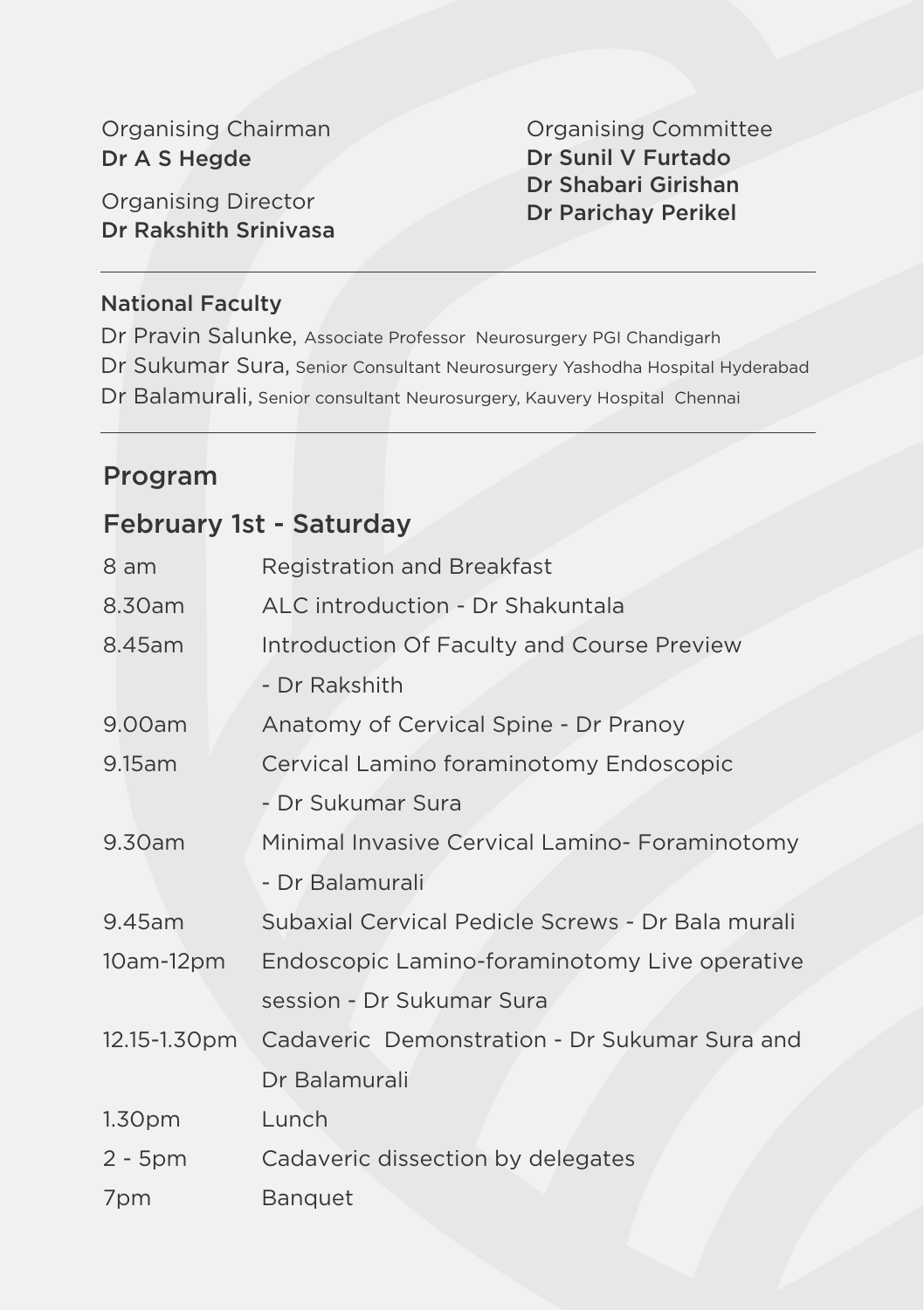Organising Chairman Dr A S Hegde

Organising Director Dr Rakshith Srinivasa Organising Committee Dr Sunil V Furtado Dr Shabari Girishan Dr Parichay Perikel

#### National Faculty

Dr Pravin Salunke, Associate Professor Neurosurgery PGI Chandigarh Dr Sukumar Sura, Senior Consultant Neurosurgery Yashodha Hospital Hyderabad Dr Balamurali, Senior consultant Neurosurgery, Kauvery Hospital Chennai

#### Program

#### February 1st - Saturday

| 8 am               | <b>Registration and Breakfast</b>                 |
|--------------------|---------------------------------------------------|
| 8.30am             | ALC introduction - Dr Shakuntala                  |
| 8.45am             | Introduction Of Faculty and Course Preview        |
|                    | - Dr Rakshith                                     |
| 9.00am             | Anatomy of Cervical Spine - Dr Pranoy             |
| 9.15am             | Cervical Lamino foraminotomy Endoscopic           |
|                    | - Dr Sukumar Sura                                 |
| 9.30am             | Minimal Invasive Cervical Lamino- Foraminotomy    |
|                    | - Dr Balamurali                                   |
| 9.45am             | Subaxial Cervical Pedicle Screws - Dr Bala murali |
| $10am-12pm$        | Endoscopic Lamino-foraminotomy Live operative     |
|                    | session - Dr Sukumar Sura                         |
| 12.15-1.30pm       | Cadaveric Demonstration - Dr Sukumar Sura and     |
|                    | Dr Balamurali                                     |
| 1.30 <sub>pm</sub> | Lunch                                             |
| $2 - 5$ pm         | Cadaveric dissection by delegates                 |
| 7pm                | <b>Banquet</b>                                    |